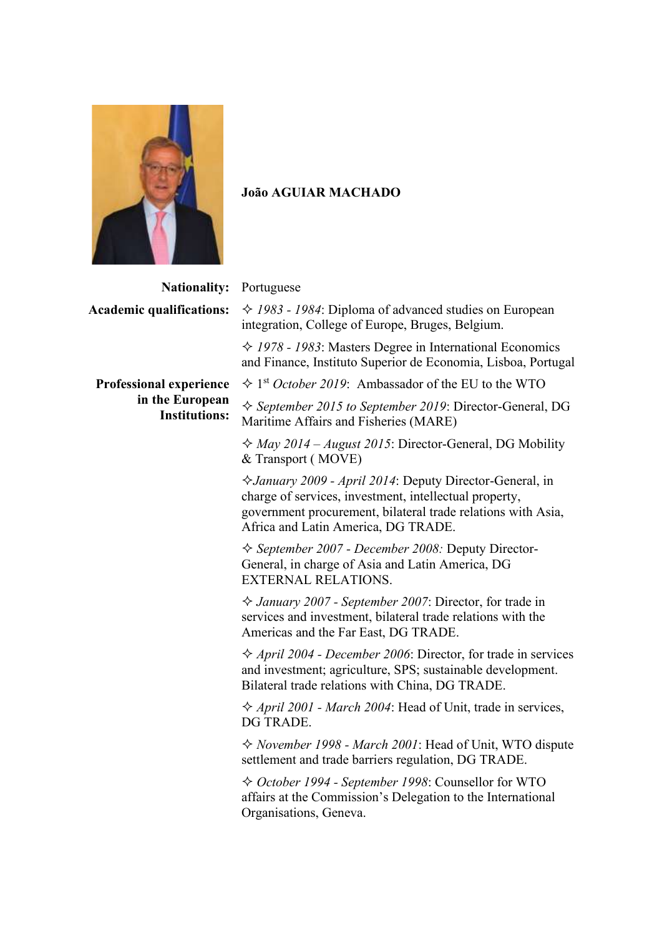

## **João AGUIAR MACHADO**

**Nationali Academic qualifications:** *1983 - 1984*: Diploma of advanced studies on European

**Professional experience in the European Institutions:**

| ity:       | Portuguese                                                                                                                                                                                                                             |
|------------|----------------------------------------------------------------------------------------------------------------------------------------------------------------------------------------------------------------------------------------|
| ns:        | $\div$ 1983 - 1984: Diploma of advanced studies on European<br>integration, College of Europe, Bruges, Belgium.                                                                                                                        |
|            | $\div$ 1978 - 1983: Masters Degree in International Economics<br>and Finance, Instituto Superior de Economia, Lisboa, Portugal                                                                                                         |
| nce        | $\div$ 1 <sup>st</sup> <i>October 2019</i> : Ambassador of the EU to the WTO                                                                                                                                                           |
| ean<br>ns: | $\Diamond$ September 2015 to September 2019: Director-General, DG<br>Maritime Affairs and Fisheries (MARE)                                                                                                                             |
|            | $\Diamond$ May 2014 – August 2015: Director-General, DG Mobility<br>& Transport (MOVE)                                                                                                                                                 |
|            | <i><b>∀January 2009 - April 2014: Deputy Director-General, in</b></i><br>charge of services, investment, intellectual property,<br>government procurement, bilateral trade relations with Asia,<br>Africa and Latin America, DG TRADE. |
|            | ☆ September 2007 - December 2008: Deputy Director-<br>General, in charge of Asia and Latin America, DG<br><b>EXTERNAL RELATIONS.</b>                                                                                                   |
|            | $\Diamond$ January 2007 - September 2007: Director, for trade in<br>services and investment, bilateral trade relations with the<br>Americas and the Far East, DG TRADE.                                                                |
|            | $\Diamond$ April 2004 - December 2006: Director, for trade in services<br>and investment; agriculture, SPS; sustainable development.<br>Bilateral trade relations with China, DG TRADE.                                                |
|            | $\Diamond$ April 2001 - March 2004: Head of Unit, trade in services,<br>DG TRADE.                                                                                                                                                      |
|            | $\Diamond$ November 1998 - March 2001: Head of Unit, WTO dispute<br>settlement and trade barriers regulation, DG TRADE.                                                                                                                |
|            | ☆ October 1994 - September 1998: Counsellor for WTO                                                                                                                                                                                    |

affairs at the Commission's Delegation to the International Organisations, Geneva.